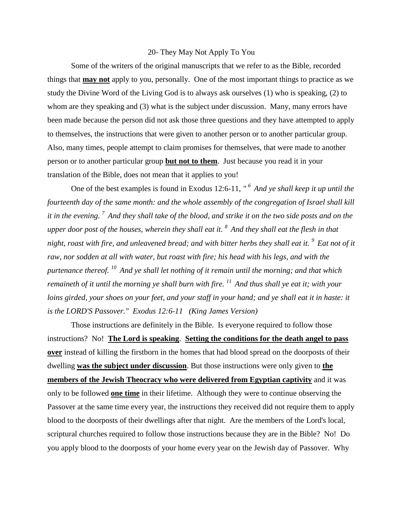## 20- They May Not Apply To You

Some of the writers of the original manuscripts that we refer to as the Bible, recorded things that **may not** apply to you, personally. One of the most important things to practice as we study the Divine Word of the Living God is to always ask ourselves (1) who is speaking, (2) to whom are they speaking and (3) what is the subject under discussion. Many, many errors have been made because the person did not ask those three questions and they have attempted to apply to themselves, the instructions that were given to another person or to another particular group. Also, many times, people attempt to claim promises for themselves, that were made to another person or to another particular group **but not to them**. Just because you read it in your translation of the Bible, does not mean that it applies to you!

One of the best examples is found in Exodus 12:6-11, *" <sup>6</sup>And ye shall keep it up until the fourteenth day of the same month: and the whole assembly of the congregation of Israel shall kill it in the evening. <sup>7</sup>And they shall take of the blood, and strike it on the two side posts and on the upper door post of the houses, wherein they shall eat it. <sup>8</sup>And they shall eat the flesh in that night, roast with fire, and unleavened bread; and with bitter herbs they shall eat it. <sup>9</sup>Eat not of it raw, nor sodden at all with water, but roast with fire; his head with his legs, and with the purtenance thereof. <sup>10</sup>And ye shall let nothing of it remain until the morning; and that which remaineth of it until the morning ye shall burn with fire. <sup>11</sup>And thus shall ye eat it; with your loins girded, your shoes on your feet, and your staff in your hand; and ye shall eat it in haste: it is the LORD'S Passover." Exodus 12:6-11 (King James Version)* 

Those instructions are definitely in the Bible. Is everyone required to follow those instructions? No! **The Lord is speaking**. **Setting the conditions for the death angel to pass over** instead of killing the firstborn in the homes that had blood spread on the doorposts of their dwelling **was the subject under discussion**. But those instructions were only given to **the members of the Jewish Theocracy who were delivered from Egyptian captivity** and it was only to be followed **one time** in their lifetime. Although they were to continue observing the Passover at the same time every year, the instructions they received did not require them to apply blood to the doorposts of their dwellings after that night. Are the members of the Lord's local, scriptural churches required to follow those instructions because they are in the Bible? No! Do you apply blood to the doorposts of your home every year on the Jewish day of Passover. Why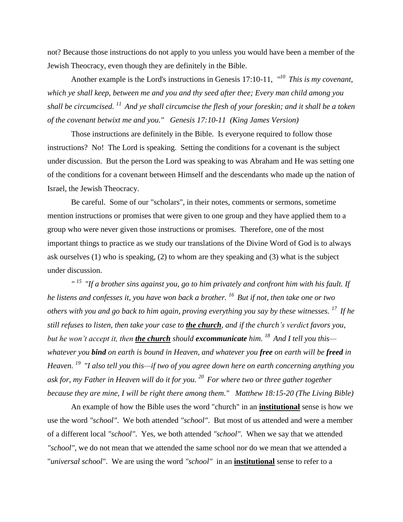not? Because those instructions do not apply to you unless you would have been a member of the Jewish Theocracy, even though they are definitely in the Bible.

Another example is the Lord's instructions in Genesis 17:10-11, *" <sup>10</sup>This is my covenant, which ye shall keep, between me and you and thy seed after thee; Every man child among you shall be circumcised. <sup>11</sup>And ye shall circumcise the flesh of your foreskin; and it shall be a token of the covenant betwixt me and you." Genesis 17:10-11 (King James Version)* 

Those instructions are definitely in the Bible. Is everyone required to follow those instructions? No! The Lord is speaking. Setting the conditions for a covenant is the subject under discussion. But the person the Lord was speaking to was Abraham and He was setting one of the conditions for a covenant between Himself and the descendants who made up the nation of Israel, the Jewish Theocracy.

Be careful. Some of our "scholars", in their notes, comments or sermons, sometime mention instructions or promises that were given to one group and they have applied them to a group who were never given those instructions or promises. Therefore, one of the most important things to practice as we study our translations of the Divine Word of God is to always ask ourselves (1) who is speaking, (2) to whom are they speaking and (3) what is the subject under discussion.

*" <sup>15</sup>"If a brother sins against you, go to him privately and confront him with his fault. If he listens and confesses it, you have won back a brother. <sup>16</sup>But if not, then take one or two others with you and go back to him again, proving everything you say by these witnesses. <sup>17</sup>If he still refuses to listen, then take your case to the church, and if the church's verdict favors you, but he won't accept it, then the church should excommunicate him. <sup>18</sup>And I tell you this whatever you bind on earth is bound in Heaven, and whatever you free on earth will be freed in Heaven. <sup>19</sup>"I also tell you this—if two of you agree down here on earth concerning anything you ask for, my Father in Heaven will do it for you. <sup>20</sup>For where two or three gather together because they are mine, I will be right there among them." Matthew 18:15-20 (The Living Bible)*

An example of how the Bible uses the word "church" in an **institutional** sense is how we use the word *"school"*. We both attended *"school"*. But most of us attended and were a member of a different local *"school"*. Yes, we both attended *"school"*. When we say that we attended *"school"*, we do not mean that we attended the same school nor do we mean that we attended a "*universal school*". We are using the word *"school"* in an **institutional** sense to refer to a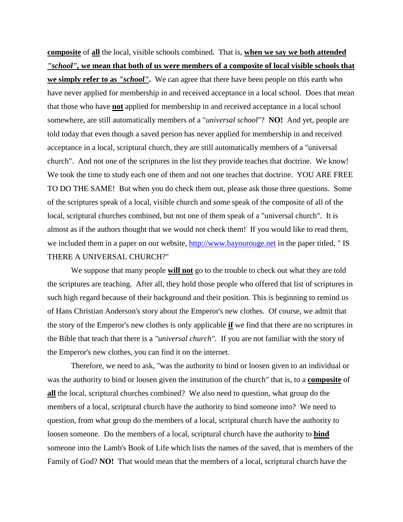**composite** of **all** the local, visible schools combined. That is, **when we say we both attended**  *"school",* **we mean that both of us were members of a composite of local visible schools that we simply refer to as** *"school"***.** We can agree that there have been people on this earth who have never applied for membership in and received acceptance in a local school. Does that mean that those who have **not** applied for membership in and received acceptance in a local school somewhere, are still automatically members of a "*universal school*"? **NO!** And yet, people are told today that even though a saved person has never applied for membership in and received acceptance in a local, scriptural church, they are still automatically members of a "universal church".And not one of the scriptures in the list they provide teaches that doctrine. We know! We took the time to study each one of them and not one teaches that doctrine. YOU ARE FREE TO DO THE SAME! But when you do check them out, please ask those three questions. Some of the scriptures speak of a local, visible church and some speak of the composite of all of the local, scriptural churches combined, but not one of them speak of a "universal church". It is almost as if the authors thought that we would not check them! If you would like to read them, we included them in a paper on our website, [http://www.bayourouge.net](http://www.bayourouge.net/) in the paper titled, "IS THERE A UNIVERSAL CHURCH?"

We suppose that many people **will not** go to the trouble to check out what they are told the scriptures are teaching. After all, they hold those people who offered that list of scriptures in such high regard because of their background and their position. This is beginning to remind us of Hans Christian Anderson's story about the Emperor's new clothes. Of course, we admit that the story of the Emperor's new clothes is only applicable **if** we find that there are no scriptures in the Bible that teach that there is a *"universal church".* If you are not familiar with the story of the Emperor's new clothes, you can find it on the internet.

Therefore, we need to ask, "was the authority to bind or loosen given to an individual or was the authority to bind or loosen given the institution of the church" that is, to a **composite** of **all** the local, scriptural churches combined? We also need to question, what group do the members of a local, scriptural church have the authority to bind someone into? We need to question, from what group do the members of a local, scriptural church have the authority to loosen someone. Do the members of a local, scriptural church have the authority to **bind** someone into the Lamb's Book of Life which lists the names of the saved, that is members of the Family of God? **NO!** That would mean that the members of a local, scriptural church have the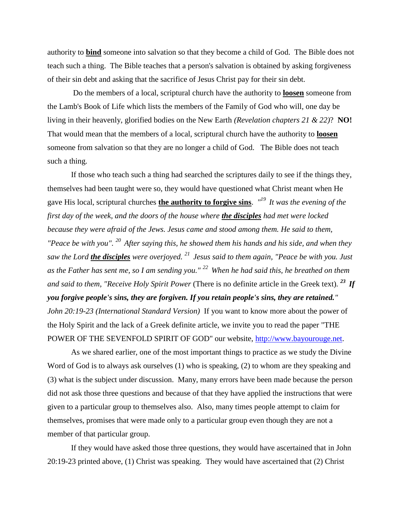authority to **bind** someone into salvation so that they become a child of God. The Bible does not teach such a thing. The Bible teaches that a person's salvation is obtained by asking forgiveness of their sin debt and asking that the sacrifice of Jesus Christ pay for their sin debt.

Do the members of a local, scriptural church have the authority to **loosen** someone from the Lamb's Book of Life which lists the members of the Family of God who will, one day be living in their heavenly, glorified bodies on the New Earth *(Revelation chapters 21 & 22)*? **NO!** That would mean that the members of a local, scriptural church have the authority to **loosen** someone from salvation so that they are no longer a child of God. The Bible does not teach such a thing.

If those who teach such a thing had searched the scriptures daily to see if the things they, themselves had been taught were so, they would have questioned what Christ meant when He gave His local, scriptural churches **the authority to forgive sins**. *" <sup>19</sup>It was the evening of the first day of the week, and the doors of the house where the disciples had met were locked because they were afraid of the Jews. Jesus came and stood among them. He said to them, "Peace be with you". <sup>20</sup>After saying this, he showed them his hands and his side, and when they saw the Lord the disciples were overjoyed. <sup>21</sup>Jesus said to them again, "Peace be with you. Just as the Father has sent me, so I am sending you." <sup>22</sup>When he had said this, he breathed on them and said to them, "Receive Holy Spirit Power* (There is no definite article in the Greek text)*. <sup>23</sup>If you forgive people's sins, they are forgiven. If you retain people's sins, they are retained." John 20:19-23 (International Standard Version)* If you want to know more about the power of the Holy Spirit and the lack of a Greek definite article, we invite you to read the paper "THE POWER OF THE SEVENFOLD SPIRIT OF GOD" our website, [http://www.bayourouge.net.](http://www.bayourouge.net/)

As we shared earlier, one of the most important things to practice as we study the Divine Word of God is to always ask ourselves (1) who is speaking, (2) to whom are they speaking and (3) what is the subject under discussion. Many, many errors have been made because the person did not ask those three questions and because of that they have applied the instructions that were given to a particular group to themselves also. Also, many times people attempt to claim for themselves, promises that were made only to a particular group even though they are not a member of that particular group.

If they would have asked those three questions, they would have ascertained that in John 20:19-23 printed above, (1) Christ was speaking. They would have ascertained that (2) Christ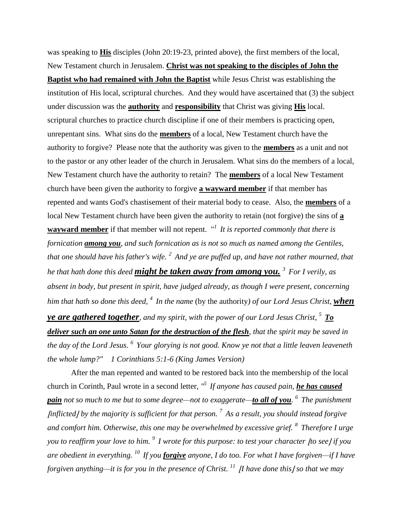was speaking to **His** disciples (John 20:19-23, printed above), the first members of the local, New Testament church in Jerusalem. **Christ was not speaking to the disciples of John the Baptist who had remained with John the Baptist** while Jesus Christ was establishing the institution of His local, scriptural churches. And they would have ascertained that (3) the subject under discussion was the **authority** and **responsibility** that Christ was giving **His** local. scriptural churches to practice church discipline if one of their members is practicing open, unrepentant sins. What sins do the **members** of a local, New Testament church have the authority to forgive? Please note that the authority was given to the **members** as a unit and not to the pastor or any other leader of the church in Jerusalem. What sins do the members of a local, New Testament church have the authority to retain? The **members** of a local New Testament church have been given the authority to forgive **a wayward member** if that member has repented and wants God's chastisement of their material body to cease. Also, the **members** of a local New Testament church have been given the authority to retain (not forgive) the sins of **a wayward member** if that member will not repent. "*<sup>1</sup>It is reported commonly that there is fornication among you, and such fornication as is not so much as named among the Gentiles, that one should have his father's wife. <sup>2</sup>And ye are puffed up, and have not rather mourned, that he that hath done this deed might be taken away from among you. <sup>3</sup>For I verily, as absent in body, but present in spirit, have judged already, as though I were present, concerning him that hath so done this deed, <sup>4</sup>In the name* (by the authority*) of our Lord Jesus Christ, when ye are gathered together, and my spirit, with the power of our Lord Jesus Christ, <sup>5</sup>To deliver such an one unto Satan for the destruction of the flesh, that the spirit may be saved in the day of the Lord Jesus. <sup>6</sup>Your glorying is not good. Know ye not that a little leaven leaveneth the whole lump?" 1 Corinthians 5:1-6 (King James Version)* 

After the man repented and wanted to be restored back into the membership of the local church in Corinth, Paul wrote in a second letter, *" <sup>5</sup>If anyone has caused pain, he has caused pain not so much to me but to some degree—not to exaggerate—to all of you. <sup>6</sup>The punishment*  ⌊*inflicted*⌋ *by the majority is sufficient for that person. <sup>7</sup>As a result, you should instead forgive and comfort him. Otherwise, this one may be overwhelmed by excessive grief. <sup>8</sup>Therefore I urge you to reaffirm your love to him.* <sup>9</sup> *I wrote for this purpose: to test your character |to see | if you are obedient in everything. <sup>10</sup>If you forgive anyone, I do too. For what I have forgiven—if I have forgiven anything—it is for you in the presence of Christ.* <sup>11</sup> *|I have done this | so that we may*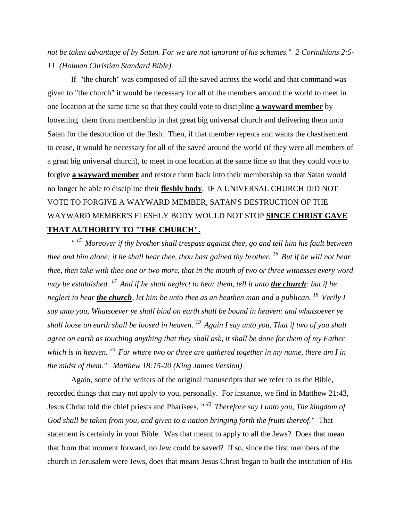*not be taken advantage of by Satan. For we are not ignorant of his schemes." 2 Corinthians 2:5- 11 (Holman Christian Standard Bible)*

If "the church" was composed of all the saved across the world and that command was given to "the church" it would be necessary for all of the members around the world to meet in one location at the same time so that they could vote to discipline **a wayward member** by loosening them from membership in that great big universal church and delivering them unto Satan for the destruction of the flesh. Then, if that member repents and wants the chastisement to cease, it would be necessary for all of the saved around the world (if they were all members of a great big universal church), to meet in one location at the same time so that they could vote to forgive **a wayward member** and restore them back into their membership so that Satan would no longer be able to discipline their **fleshly body**. IF A UNIVERSAL CHURCH DID NOT VOTE TO FORGIVE A WAYWARD MEMBER, SATAN'S DESTRUCTION OF THE WAYWARD MEMBER'S FLESHLY BODY WOULD NOT STOP **SINCE CHRIST GAVE THAT AUTHORITY TO "THE CHURCH".**

*" <sup>15</sup>Moreover if thy brother shall trespass against thee, go and tell him his fault between thee and him alone: if he shall hear thee, thou hast gained thy brother. <sup>16</sup>But if he will not hear thee, then take with thee one or two more, that in the mouth of two or three witnesses every word may be established. <sup>17</sup>And if he shall neglect to hear them, tell it unto the church: but if he neglect to hear the church, let him be unto thee as an heathen man and a publican. <sup>18</sup>Verily I say unto you, Whatsoever ye shall bind on earth shall be bound in heaven: and whatsoever ye shall loose on earth shall be loosed in heaven. <sup>19</sup>Again I say unto you, That if two of you shall agree on earth as touching anything that they shall ask, it shall be done for them of my Father which is in heaven. <sup>20</sup>For where two or three are gathered together in my name, there am I in the midst of them." Matthew 18:15-20 (King James Version)* 

Again, some of the writers of the original manuscripts that we refer to as the Bible, recorded things that may not apply to you, personally. For instance, we find in Matthew 21:43, Jesus Christ told the chief priests and Pharisees, *" <sup>43</sup>Therefore say I unto you, The kingdom of God shall be taken from you, and given to a nation bringing forth the fruits thereof."* That statement is certainly in your Bible.Was that meant to apply to all the Jews? Does that mean that from that moment forward, no Jew could be saved? If so, since the first members of the church in Jerusalem were Jews, does that means Jesus Christ began to built the institution of His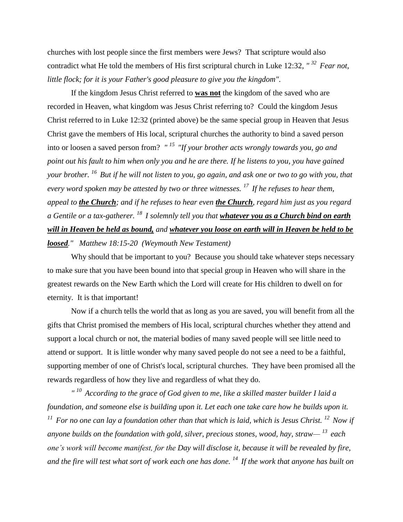churches with lost people since the first members were Jews? That scripture would also contradict what He told the members of His first scriptural church in Luke 12:32, *" <sup>32</sup>Fear not, little flock; for it is your Father's good pleasure to give you the kingdom".*

If the kingdom Jesus Christ referred to **was not** the kingdom of the saved who are recorded in Heaven, what kingdom was Jesus Christ referring to? Could the kingdom Jesus Christ referred to in Luke 12:32 (printed above) be the same special group in Heaven that Jesus Christ gave the members of His local, scriptural churches the authority to bind a saved person into or loosen a saved person from? *" <sup>15</sup>"If your brother acts wrongly towards you, go and point out his fault to him when only you and he are there. If he listens to you, you have gained your brother. <sup>16</sup>But if he will not listen to you, go again, and ask one or two to go with you, that every word spoken may be attested by two or three witnesses. <sup>17</sup>If he refuses to hear them, appeal to the Church; and if he refuses to hear even the Church, regard him just as you regard a Gentile or a tax-gatherer. <sup>18</sup>I solemnly tell you that whatever you as a Church bind on earth will in Heaven be held as bound, and whatever you loose on earth will in Heaven be held to be loosed." Matthew 18:15-20 (Weymouth New Testament)*

Why should that be important to you? Because you should take whatever steps necessary to make sure that you have been bound into that special group in Heaven who will share in the greatest rewards on the New Earth which the Lord will create for His children to dwell on for eternity. It is that important!

Now if a church tells the world that as long as you are saved, you will benefit from all the gifts that Christ promised the members of His local, scriptural churches whether they attend and support a local church or not, the material bodies of many saved people will see little need to attend or support. It is little wonder why many saved people do not see a need to be a faithful, supporting member of one of Christ's local, scriptural churches. They have been promised all the rewards regardless of how they live and regardless of what they do.

*" <sup>10</sup>According to the grace of God given to me, like a skilled master builder I laid a foundation, and someone else is building upon it. Let each one take care how he builds upon it. <sup>11</sup>For no one can lay a foundation other than that which is laid, which is Jesus Christ. <sup>12</sup>Now if anyone builds on the foundation with gold, silver, precious stones, wood, hay, straw— <sup>13</sup>each one's work will become manifest, for the Day will disclose it, because it will be revealed by fire, and the fire will test what sort of work each one has done. <sup>14</sup>If the work that anyone has built on*